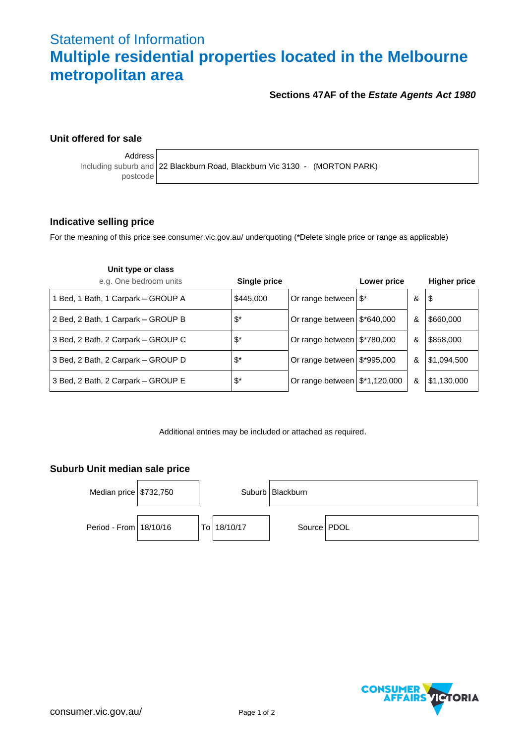# Statement of Information **Multiple residential properties located in the Melbourne metropolitan area**

## **Sections 47AF of the** *Estate Agents Act 1980*

## **Unit offered for sale**

Address

Including suburb and 22 Blackburn Road, Blackburn Vic 3130 - (MORTON PARK) postcode

### **Indicative selling price**

For the meaning of this price see consumer.vic.gov.au/ underquoting (\*Delete single price or range as applicable)

| Unit type or class                 |                  |                                         |             |   |                     |
|------------------------------------|------------------|-----------------------------------------|-------------|---|---------------------|
| e.g. One bedroom units             | Single price     |                                         | Lower price |   | <b>Higher price</b> |
| 1 Bed, 1 Bath, 1 Carpark - GROUP A | \$445,000        | Or range between $\frac{1}{3}$ *        |             | & | \$                  |
| 2 Bed, 2 Bath, 1 Carpark - GROUP B | $\mathfrak{F}^*$ | Or range between $\frac{12*640,000}{1}$ |             | & | \$660,000           |
| 3 Bed, 2 Bath, 2 Carpark - GROUP C | $\mathfrak{F}^*$ | Or range between $\frac{12}{2}$ 780,000 |             | & | \$858,000           |
| 3 Bed, 2 Bath, 2 Carpark - GROUP D | $\mathfrak{F}^*$ | Or range between $\frac{12}{3}$ 995,000 |             | & | \$1,094,500         |
| 3 Bed, 2 Bath, 2 Carpark - GROUP E | $\mathfrak{F}^*$ | Or range between $\frac{120,000}{2}$    |             | & | \$1,130,000         |

Additional entries may be included or attached as required.

## **Suburb Unit median sale price**